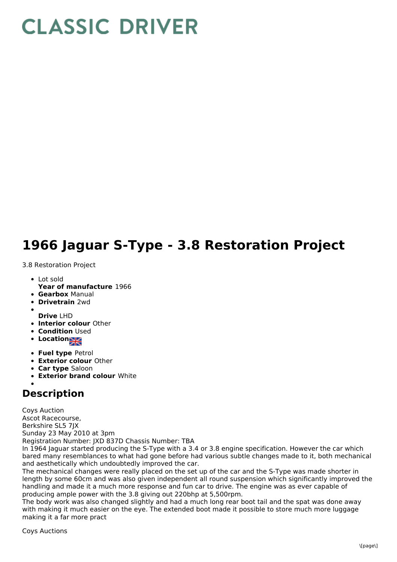## **CLASSIC DRIVER**

## **1966 Jaguar S-Type - 3.8 Restoration Project**

3.8 Restoration Project

- Lot sold
- **Year of manufacture** 1966
- **Gearbox** Manual
- **Drivetrain** 2wd
- 
- **Drive** LHD
- **Interior colour** Other
- **Condition Used**
- **Locations**
- **Fuel type** Petrol
- **Exterior colour** Other
- **Car type** Saloon
- **Exterior brand colour** White

## **Description**

Coys Auction Ascot Racecourse, Berkshire SL5 7JX Sunday 23 May 2010 at 3pm Registration Number: JXD 837D Chassis Number: TBA

In 1964 Jaguar started producing the S-Type with a 3.4 or 3.8 engine specification. However the car which bared many resemblances to what had gone before had various subtle changes made to it, both mechanical and aesthetically which undoubtedly improved the car.

The mechanical changes were really placed on the set up of the car and the S-Type was made shorter in length by some 60cm and was also given independent all round suspension which significantly improved the handling and made it a much more response and fun car to drive. The engine was as ever capable of producing ample power with the 3.8 giving out 220bhp at 5,500rpm.

The body work was also changed slightly and had a much long rear boot tail and the spat was done away with making it much easier on the eye. The extended boot made it possible to store much more luggage making it a far more pract

Coys Auctions